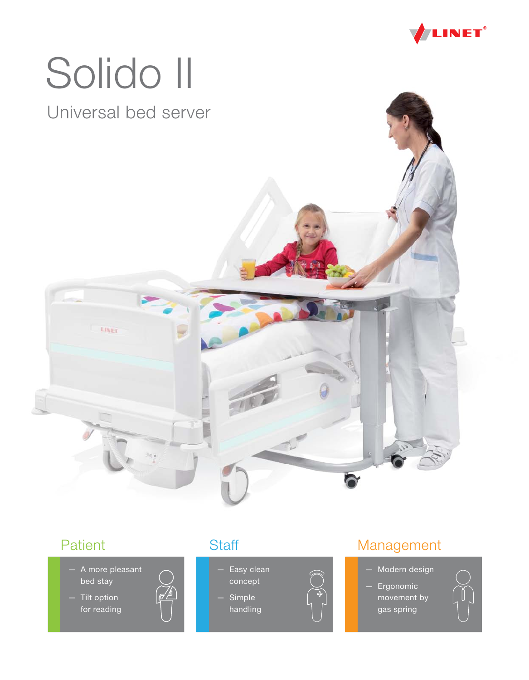

# Solido II

## Universal bed server



- A more pleasant bed stay
- Tilt option for reading



- Easy clean concept
	- Simple handling

#### Patient Staff Staff Management

- Modern design
- Ergonomic movement by gas spring

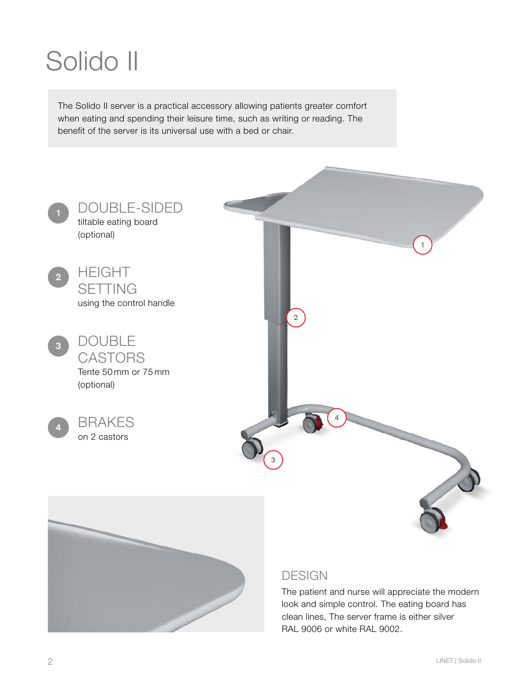# Solido II

The Solido II server is a practical accessory allowing patients greater comfort when eating and spending their leisure time, such as writing or reading. The benefit of the server is its universal use with a bed or chair.



The patient and nurse will appreciate the modern look and simple control. The eating board has clean lines, The server frame is either silver RAL 9006 or white RAL 9002.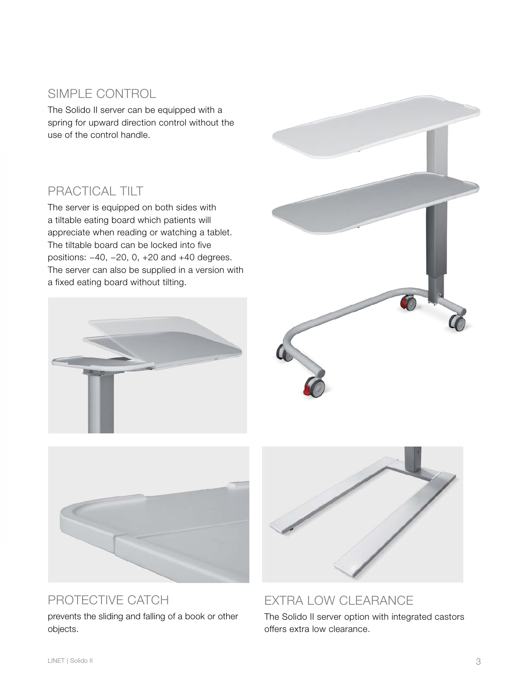#### SIMPLE CONTROL

The Solido II server can be equipped with a spring for upward direction control without the use of the control handle.

#### PRACTICAL TILT

The server is equipped on both sides with a tiltable eating board which patients will appreciate when reading or watching a tablet. The tiltable board can be locked into five positions: −40, −20, 0, +20 and +40 degrees. The server can also be supplied in a version with a fixed eating board without tilting.







### PROTECTIVE CATCH

prevents the sliding and falling of a book or other objects.



EXTRA LOW CLEARANCE The Solido II server option with integrated castors

offers extra low clearance.